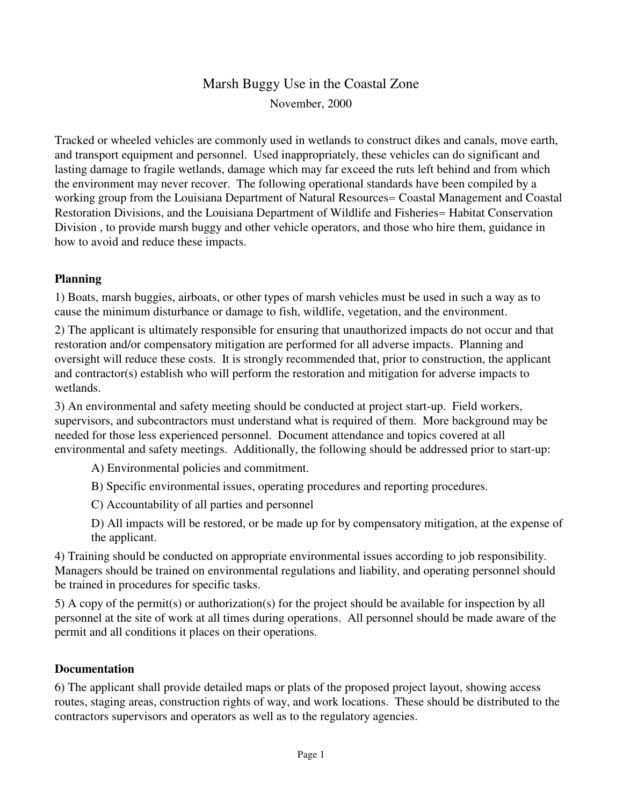# Marsh Buggy Use in the Coastal Zone November, 2000

Tracked or wheeled vehicles are commonly used in wetlands to construct dikes and canals, move earth, and transport equipment and personnel. Used inappropriately, these vehicles can do significant and lasting damage to fragile wetlands, damage which may far exceed the ruts left behind and from which the environment may never recover. The following operational standards have been compiled by a working group from the Louisiana Department of Natural Resources= Coastal Management and Coastal Restoration Divisions, and the Louisiana Department of Wildlife and Fisheries= Habitat Conservation Division , to provide marsh buggy and other vehicle operators, and those who hire them, guidance in how to avoid and reduce these impacts.

#### **Planning**

1) Boats, marsh buggies, airboats, or other types of marsh vehicles must be used in such a way as to cause the minimum disturbance or damage to fish, wildlife, vegetation, and the environment.

2) The applicant is ultimately responsible for ensuring that unauthorized impacts do not occur and that restoration and/or compensatory mitigation are performed for all adverse impacts. Planning and oversight will reduce these costs. It is strongly recommended that, prior to construction, the applicant and contractor(s) establish who will perform the restoration and mitigation for adverse impacts to wetlands.

3) An environmental and safety meeting should be conducted at project start-up. Field workers, supervisors, and subcontractors must understand what is required of them. More background may be needed for those less experienced personnel. Document attendance and topics covered at all environmental and safety meetings. Additionally, the following should be addressed prior to start-up:

- A) Environmental policies and commitment.
- B) Specific environmental issues, operating procedures and reporting procedures.
- C) Accountability of all parties and personnel
- D) All impacts will be restored, or be made up for by compensatory mitigation, at the expense of the applicant.

4) Training should be conducted on appropriate environmental issues according to job responsibility. Managers should be trained on environmental regulations and liability, and operating personnel should be trained in procedures for specific tasks.

5) A copy of the permit(s) or authorization(s) for the project should be available for inspection by all personnel at the site of work at all times during operations. All personnel should be made aware of the permit and all conditions it places on their operations.

#### **Documentation**

6) The applicant shall provide detailed maps or plats of the proposed project layout, showing access routes, staging areas, construction rights of way, and work locations. These should be distributed to the contractors supervisors and operators as well as to the regulatory agencies.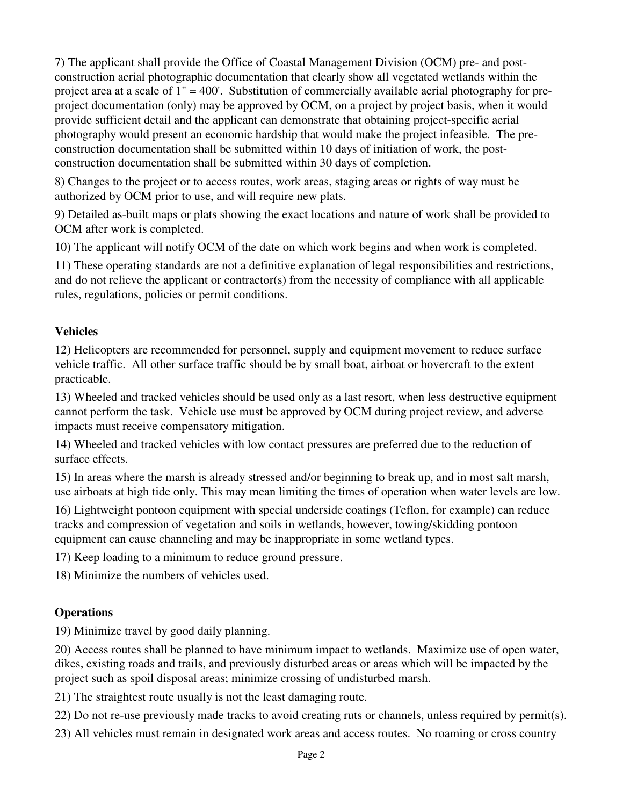7) The applicant shall provide the Office of Coastal Management Division (OCM) pre- and postconstruction aerial photographic documentation that clearly show all vegetated wetlands within the project area at a scale of 1" = 400'. Substitution of commercially available aerial photography for preproject documentation (only) may be approved by OCM, on a project by project basis, when it would provide sufficient detail and the applicant can demonstrate that obtaining project-specific aerial photography would present an economic hardship that would make the project infeasible. The preconstruction documentation shall be submitted within 10 days of initiation of work, the postconstruction documentation shall be submitted within 30 days of completion.

8) Changes to the project or to access routes, work areas, staging areas or rights of way must be authorized by OCM prior to use, and will require new plats.

9) Detailed as-built maps or plats showing the exact locations and nature of work shall be provided to OCM after work is completed.

10) The applicant will notify OCM of the date on which work begins and when work is completed.

11) These operating standards are not a definitive explanation of legal responsibilities and restrictions, and do not relieve the applicant or contractor(s) from the necessity of compliance with all applicable rules, regulations, policies or permit conditions.

## **Vehicles**

12) Helicopters are recommended for personnel, supply and equipment movement to reduce surface vehicle traffic. All other surface traffic should be by small boat, airboat or hovercraft to the extent practicable.

13) Wheeled and tracked vehicles should be used only as a last resort, when less destructive equipment cannot perform the task. Vehicle use must be approved by OCM during project review, and adverse impacts must receive compensatory mitigation.

14) Wheeled and tracked vehicles with low contact pressures are preferred due to the reduction of surface effects.

15) In areas where the marsh is already stressed and/or beginning to break up, and in most salt marsh, use airboats at high tide only. This may mean limiting the times of operation when water levels are low.

16) Lightweight pontoon equipment with special underside coatings (Teflon, for example) can reduce tracks and compression of vegetation and soils in wetlands, however, towing/skidding pontoon equipment can cause channeling and may be inappropriate in some wetland types.

17) Keep loading to a minimum to reduce ground pressure.

18) Minimize the numbers of vehicles used.

## **Operations**

19) Minimize travel by good daily planning.

20) Access routes shall be planned to have minimum impact to wetlands. Maximize use of open water, dikes, existing roads and trails, and previously disturbed areas or areas which will be impacted by the project such as spoil disposal areas; minimize crossing of undisturbed marsh.

21) The straightest route usually is not the least damaging route.

22) Do not re-use previously made tracks to avoid creating ruts or channels, unless required by permit(s).

23) All vehicles must remain in designated work areas and access routes. No roaming or cross country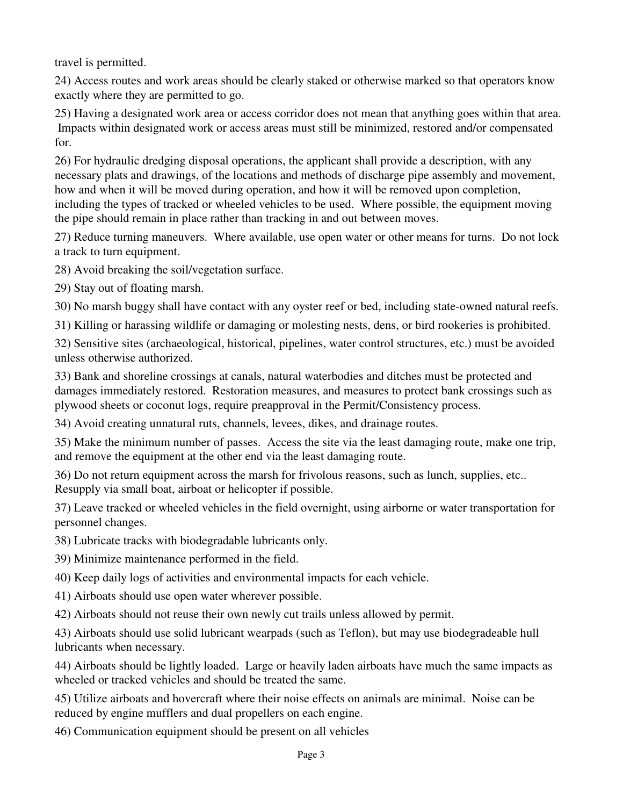travel is permitted.

24) Access routes and work areas should be clearly staked or otherwise marked so that operators know exactly where they are permitted to go.

25) Having a designated work area or access corridor does not mean that anything goes within that area. Impacts within designated work or access areas must still be minimized, restored and/or compensated for.

26) For hydraulic dredging disposal operations, the applicant shall provide a description, with any necessary plats and drawings, of the locations and methods of discharge pipe assembly and movement, how and when it will be moved during operation, and how it will be removed upon completion, including the types of tracked or wheeled vehicles to be used. Where possible, the equipment moving the pipe should remain in place rather than tracking in and out between moves.

27) Reduce turning maneuvers. Where available, use open water or other means for turns. Do not lock a track to turn equipment.

28) Avoid breaking the soil/vegetation surface.

29) Stay out of floating marsh.

30) No marsh buggy shall have contact with any oyster reef or bed, including state-owned natural reefs.

31) Killing or harassing wildlife or damaging or molesting nests, dens, or bird rookeries is prohibited.

32) Sensitive sites (archaeological, historical, pipelines, water control structures, etc.) must be avoided unless otherwise authorized.

33) Bank and shoreline crossings at canals, natural waterbodies and ditches must be protected and damages immediately restored. Restoration measures, and measures to protect bank crossings such as plywood sheets or coconut logs, require preapproval in the Permit/Consistency process.

34) Avoid creating unnatural ruts, channels, levees, dikes, and drainage routes.

35) Make the minimum number of passes. Access the site via the least damaging route, make one trip, and remove the equipment at the other end via the least damaging route.

36) Do not return equipment across the marsh for frivolous reasons, such as lunch, supplies, etc.. Resupply via small boat, airboat or helicopter if possible.

37) Leave tracked or wheeled vehicles in the field overnight, using airborne or water transportation for personnel changes.

38) Lubricate tracks with biodegradable lubricants only.

39) Minimize maintenance performed in the field.

40) Keep daily logs of activities and environmental impacts for each vehicle.

41) Airboats should use open water wherever possible.

42) Airboats should not reuse their own newly cut trails unless allowed by permit.

43) Airboats should use solid lubricant wearpads (such as Teflon), but may use biodegradeable hull lubricants when necessary.

44) Airboats should be lightly loaded. Large or heavily laden airboats have much the same impacts as wheeled or tracked vehicles and should be treated the same.

45) Utilize airboats and hovercraft where their noise effects on animals are minimal. Noise can be reduced by engine mufflers and dual propellers on each engine.

46) Communication equipment should be present on all vehicles